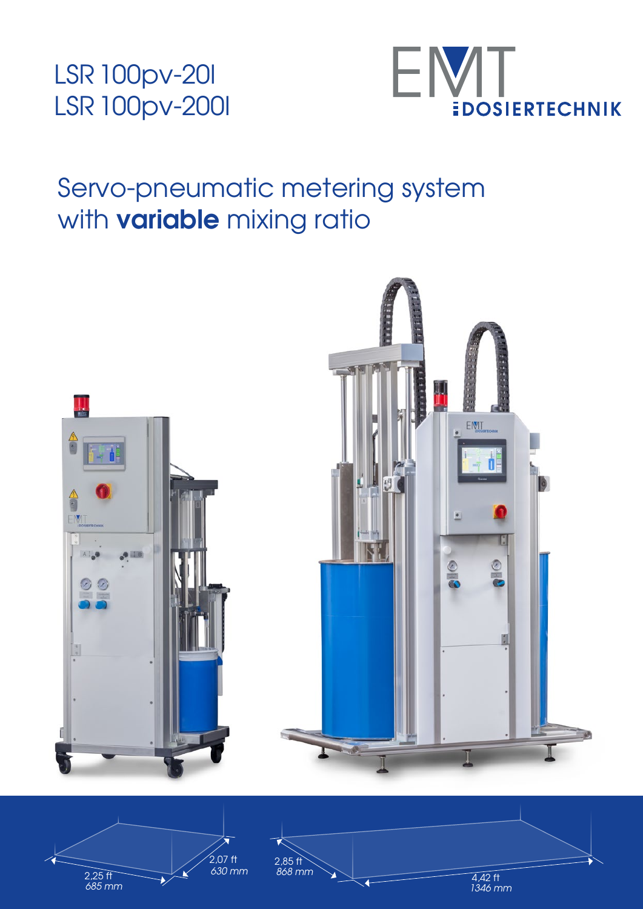



## Servo-pneumatic metering system with **variable** mixing ratio





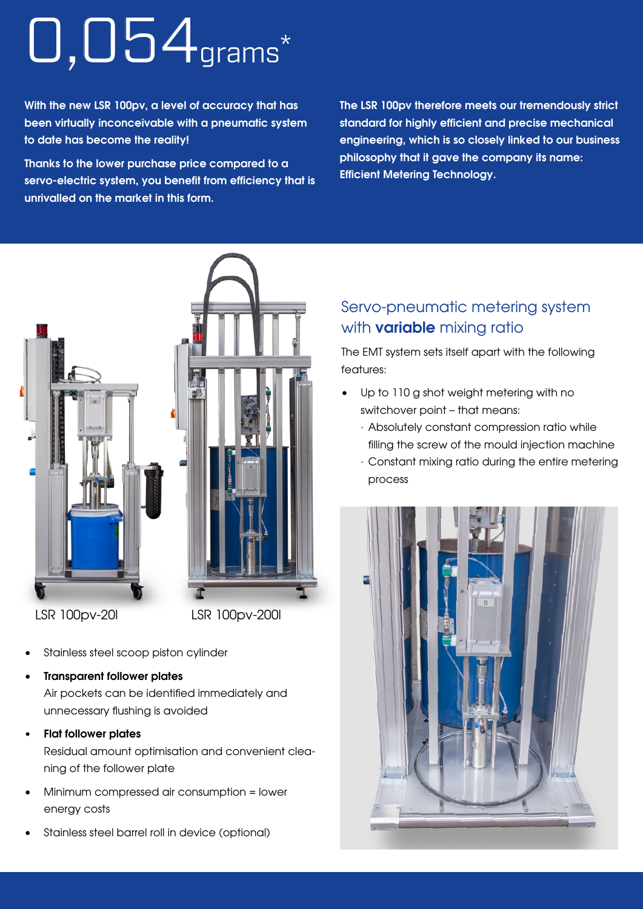## 0,054grams \*

With the new LSR 100pv, a level of accuracy that has been virtually inconceivable with a pneumatic system to date has become the reality!

Thanks to the lower purchase price compared to a servo-electric system, you benefit from efficiency that is unrivalled on the market in this form.

The LSR 100pv therefore meets our tremendously strict standard for highly efficient and precise mechanical engineering, which is so closely linked to our business philosophy that it gave the company its name: Efficient Metering Technology.



- Stainless steel scoop piston cylinder
- Transparent follower plates Air pockets can be identified immediately and unnecessary flushing is avoided
- Flat follower plates

Residual amount optimisation and convenient cleaning of the follower plate

- Minimum compressed air consumption = lower energy costs
- Stainless steel barrel roll in device (optional)

### Servo-pneumatic metering system with **variable** mixing ratio

The EMT system sets itself apart with the following features:

- Up to 110 g shot weight metering with no switchover point – that means:
	- · Absolutely constant compression ratio while filling the screw of the mould injection machine
	- · Constant mixing ratio during the entire metering process

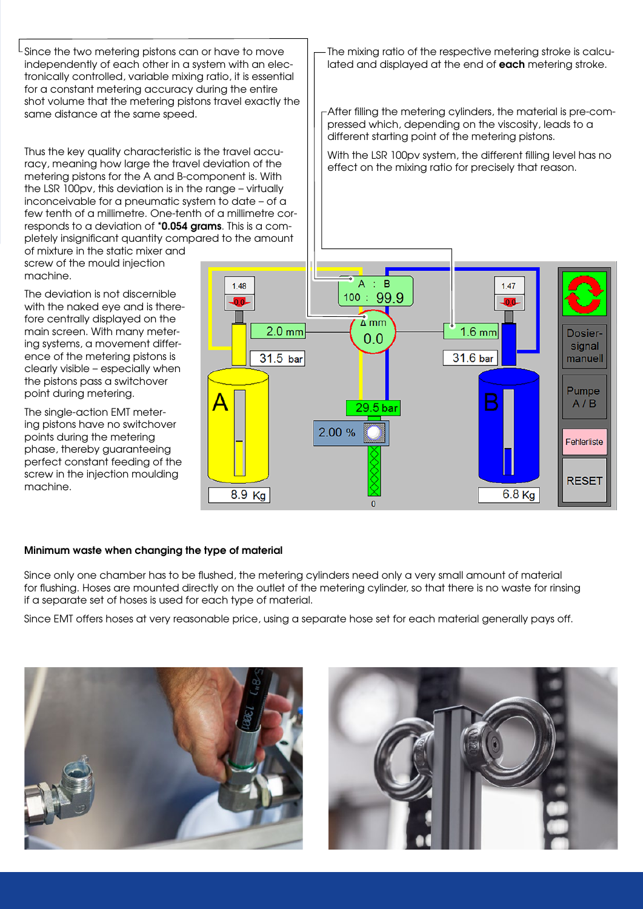$\mathsf{L}\,$  Since the two metering pistons can or have to move independently of each other in a system with an electronically controlled, variable mixing ratio, it is essential for a constant metering accuracy during the entire shot volume that the metering pistons travel exactly the same distance at the same speed.

Thus the key quality characteristic is the travel accuracy, meaning how large the travel deviation of the metering pistons for the A and B-component is. With the LSR 100pv, this deviation is in the range – virtually inconceivable for a pneumatic system to date – of a few tenth of a millimetre. One-tenth of a millimetre corresponds to a deviation of \*0.054 grams. This is a completely insignificant quantity compared to the amount

of mixture in the static mixer and screw of the mould injection machine.

The deviation is not discernible with the naked eye and is therefore centrally displayed on the main screen. With many metering systems, a movement difference of the metering pistons is clearly visible – especially when the pistons pass a switchover point during metering.

The single-action EMT metering pistons have no switchover points during the metering phase, thereby guaranteeing perfect constant feeding of the screw in the injection moulding machine.

The mixing ratio of the respective metering stroke is calculated and displayed at the end of each metering stroke.

After filling the metering cylinders, the material is pre-compressed which, depending on the viscosity, leads to a different starting point of the metering pistons.

With the LSR 100pv system, the different filling level has no effect on the mixing ratio for precisely that reason.



#### Minimum waste when changing the type of material

Since only one chamber has to be flushed, the metering cylinders need only a very small amount of material for flushing. Hoses are mounted directly on the outlet of the metering cylinder, so that there is no waste for rinsing if a separate set of hoses is used for each type of material.

Since EMT offers hoses at very reasonable price, using a separate hose set for each material generally pays off.